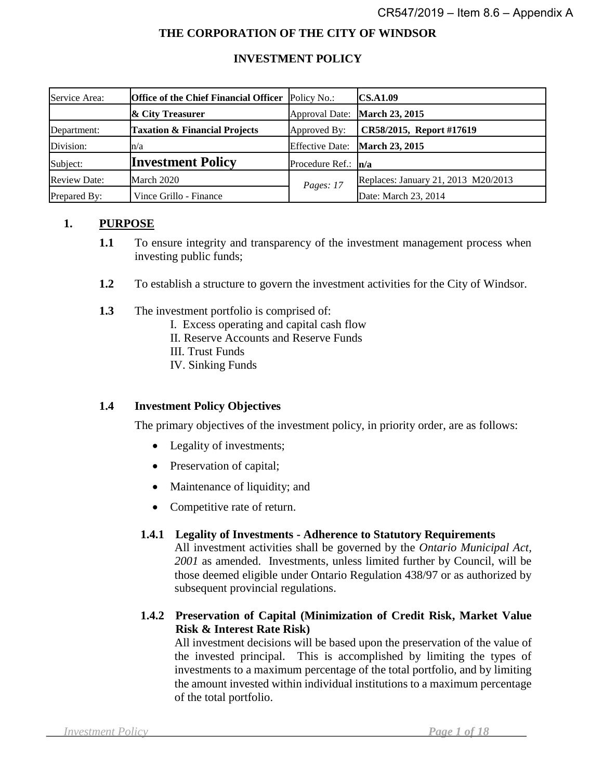#### **THE CORPORATION OF THE CITY OF WINDSOR**

#### **INVESTMENT POLICY**

| Service Area:       | <b>Office of the Chief Financial Officer</b> Policy No.: |                       | <b>CS.A1.09</b>                     |
|---------------------|----------------------------------------------------------|-----------------------|-------------------------------------|
|                     | & City Treasurer                                         |                       | Approval Date: March 23, 2015       |
| Department:         | <b>Taxation &amp; Financial Projects</b>                 | Approved By:          | CR58/2015, Report #17619            |
| Division:           | n/a                                                      |                       | Effective Date: March 23, 2015      |
| Subject:            | <b>Investment Policy</b>                                 | Procedure Ref.: $n/a$ |                                     |
| <b>Review Date:</b> | March 2020                                               | Pages: 17             | Replaces: January 21, 2013 M20/2013 |
| Prepared By:        | Vince Grillo - Finance                                   |                       | Date: March 23, 2014                |

#### **1. PURPOSE**

- **1.1** To ensure integrity and transparency of the investment management process when investing public funds;
- **1.2** To establish a structure to govern the investment activities for the City of Windsor.
- **1.3** The investment portfolio is comprised of:
	- I. Excess operating and capital cash flow
	- II. Reserve Accounts and Reserve Funds
	- III. Trust Funds
	- IV. Sinking Funds

#### **1.4 Investment Policy Objectives**

The primary objectives of the investment policy, in priority order, are as follows:

- Legality of investments;
- Preservation of capital;
- Maintenance of liquidity; and
- Competitive rate of return.

#### **1.4.1 Legality of Investments - Adherence to Statutory Requirements**

All investment activities shall be governed by the *Ontario Municipal Act, 2001* as amended. Investments, unless limited further by Council, will be those deemed eligible under Ontario Regulation 438/97 or as authorized by subsequent provincial regulations.

**1.4.2 Preservation of Capital (Minimization of Credit Risk, Market Value Risk & Interest Rate Risk)**

All investment decisions will be based upon the preservation of the value of the invested principal. This is accomplished by limiting the types of investments to a maximum percentage of the total portfolio, and by limiting the amount invested within individual institutions to a maximum percentage of the total portfolio.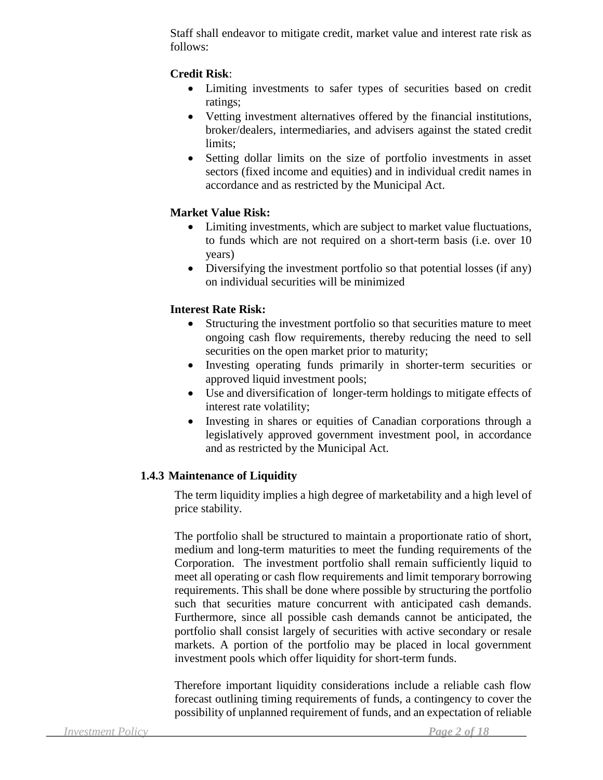Staff shall endeavor to mitigate credit, market value and interest rate risk as follows:

# **Credit Risk**:

- Limiting investments to safer types of securities based on credit ratings;
- Vetting investment alternatives offered by the financial institutions, broker/dealers, intermediaries, and advisers against the stated credit limits;
- Setting dollar limits on the size of portfolio investments in asset sectors (fixed income and equities) and in individual credit names in accordance and as restricted by the Municipal Act.

#### **Market Value Risk:**

- Limiting investments, which are subject to market value fluctuations, to funds which are not required on a short-term basis (i.e. over 10 years)
- Diversifying the investment portfolio so that potential losses (if any) on individual securities will be minimized

# **Interest Rate Risk:**

- Structuring the investment portfolio so that securities mature to meet ongoing cash flow requirements, thereby reducing the need to sell securities on the open market prior to maturity;
- Investing operating funds primarily in shorter-term securities or approved liquid investment pools;
- Use and diversification of longer-term holdings to mitigate effects of interest rate volatility;
- Investing in shares or equities of Canadian corporations through a legislatively approved government investment pool, in accordance and as restricted by the Municipal Act.

# **1.4.3 Maintenance of Liquidity**

The term liquidity implies a high degree of marketability and a high level of price stability.

The portfolio shall be structured to maintain a proportionate ratio of short, medium and long-term maturities to meet the funding requirements of the Corporation. The investment portfolio shall remain sufficiently liquid to meet all operating or cash flow requirements and limit temporary borrowing requirements. This shall be done where possible by structuring the portfolio such that securities mature concurrent with anticipated cash demands. Furthermore, since all possible cash demands cannot be anticipated, the portfolio shall consist largely of securities with active secondary or resale markets. A portion of the portfolio may be placed in local government investment pools which offer liquidity for short-term funds.

Therefore important liquidity considerations include a reliable cash flow forecast outlining timing requirements of funds, a contingency to cover the possibility of unplanned requirement of funds, and an expectation of reliable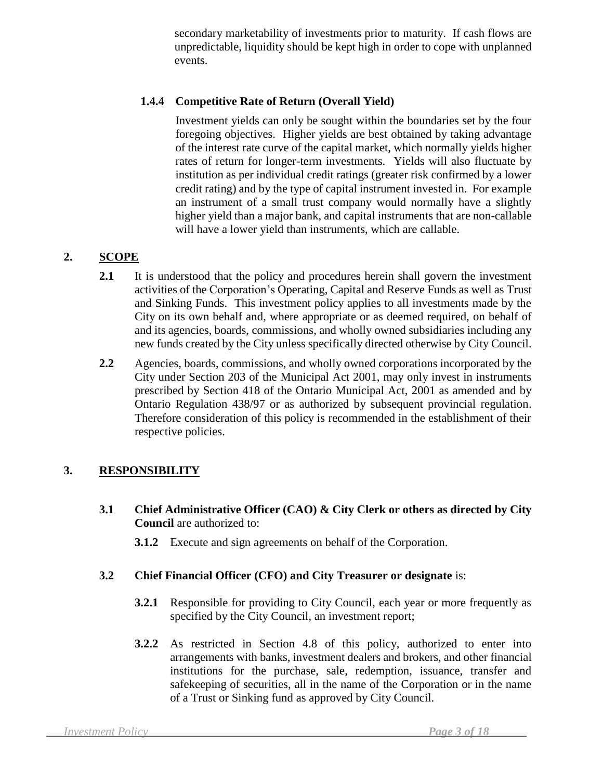secondary marketability of investments prior to maturity. If cash flows are unpredictable, liquidity should be kept high in order to cope with unplanned events.

# **1.4.4 Competitive Rate of Return (Overall Yield)**

Investment yields can only be sought within the boundaries set by the four foregoing objectives. Higher yields are best obtained by taking advantage of the interest rate curve of the capital market, which normally yields higher rates of return for longer-term investments. Yields will also fluctuate by institution as per individual credit ratings (greater risk confirmed by a lower credit rating) and by the type of capital instrument invested in. For example an instrument of a small trust company would normally have a slightly higher yield than a major bank, and capital instruments that are non-callable will have a lower yield than instruments, which are callable.

# **2. SCOPE**

- 2.1 It is understood that the policy and procedures herein shall govern the investment activities of the Corporation's Operating, Capital and Reserve Funds as well as Trust and Sinking Funds. This investment policy applies to all investments made by the City on its own behalf and, where appropriate or as deemed required, on behalf of and its agencies, boards, commissions, and wholly owned subsidiaries including any new funds created by the City unless specifically directed otherwise by City Council.
- **2.2** Agencies, boards, commissions, and wholly owned corporations incorporated by the City under Section 203 of the Municipal Act 2001, may only invest in instruments prescribed by Section 418 of the Ontario Municipal Act, 2001 as amended and by Ontario Regulation 438/97 or as authorized by subsequent provincial regulation. Therefore consideration of this policy is recommended in the establishment of their respective policies.

# **3. RESPONSIBILITY**

- **3.1 Chief Administrative Officer (CAO) & City Clerk or others as directed by City Council** are authorized to:
	- **3.1.2** Execute and sign agreements on behalf of the Corporation.

# **3.2 Chief Financial Officer (CFO) and City Treasurer or designate** is:

- **3.2.1** Responsible for providing to City Council, each year or more frequently as specified by the City Council, an investment report;
- **3.2.2** As restricted in Section 4.8 of this policy, authorized to enter into arrangements with banks, investment dealers and brokers, and other financial institutions for the purchase, sale, redemption, issuance, transfer and safekeeping of securities, all in the name of the Corporation or in the name of a Trust or Sinking fund as approved by City Council.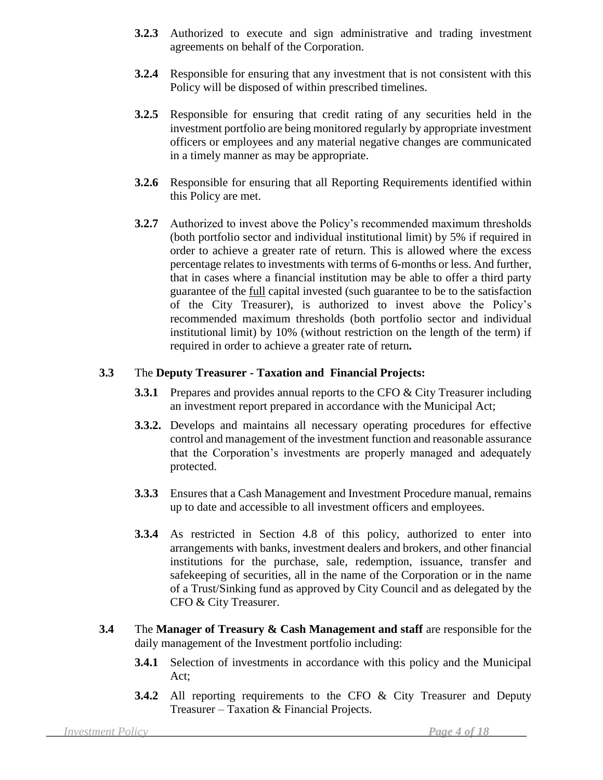- **3.2.3** Authorized to execute and sign administrative and trading investment agreements on behalf of the Corporation.
- **3.2.4** Responsible for ensuring that any investment that is not consistent with this Policy will be disposed of within prescribed timelines.
- **3.2.5** Responsible for ensuring that credit rating of any securities held in the investment portfolio are being monitored regularly by appropriate investment officers or employees and any material negative changes are communicated in a timely manner as may be appropriate.
- **3.2.6** Responsible for ensuring that all Reporting Requirements identified within this Policy are met.
- **3.2.7** Authorized to invest above the Policy's recommended maximum thresholds (both portfolio sector and individual institutional limit) by 5% if required in order to achieve a greater rate of return. This is allowed where the excess percentage relates to investments with terms of 6-months or less. And further, that in cases where a financial institution may be able to offer a third party guarantee of the full capital invested (such guarantee to be to the satisfaction of the City Treasurer), is authorized to invest above the Policy's recommended maximum thresholds (both portfolio sector and individual institutional limit) by 10% (without restriction on the length of the term) if required in order to achieve a greater rate of return*.*

# **3.3** The **Deputy Treasurer - Taxation and Financial Projects:**

- **3.3.1** Prepares and provides annual reports to the CFO & City Treasurer including an investment report prepared in accordance with the Municipal Act;
- **3.3.2.** Develops and maintains all necessary operating procedures for effective control and management of the investment function and reasonable assurance that the Corporation's investments are properly managed and adequately protected.
- **3.3.3** Ensures that a Cash Management and Investment Procedure manual, remains up to date and accessible to all investment officers and employees.
- **3.3.4** As restricted in Section 4.8 of this policy, authorized to enter into arrangements with banks, investment dealers and brokers, and other financial institutions for the purchase, sale, redemption, issuance, transfer and safekeeping of securities, all in the name of the Corporation or in the name of a Trust/Sinking fund as approved by City Council and as delegated by the CFO & City Treasurer.
- **3.4** The **Manager of Treasury & Cash Management and staff** are responsible for the daily management of the Investment portfolio including:
	- **3.4.1** Selection of investments in accordance with this policy and the Municipal Act;
	- **3.4.2** All reporting requirements to the CFO & City Treasurer and Deputy Treasurer – Taxation & Financial Projects.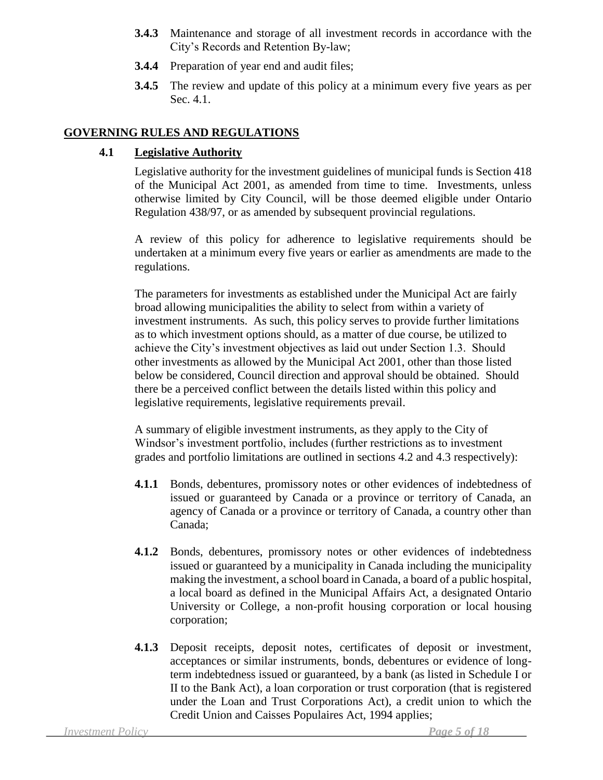- **3.4.3** Maintenance and storage of all investment records in accordance with the City's Records and Retention By-law;
- **3.4.4** Preparation of year end and audit files;
- **3.4.5** The review and update of this policy at a minimum every five years as per Sec. 4.1.

# **GOVERNING RULES AND REGULATIONS**

# **4.1 Legislative Authority**

Legislative authority for the investment guidelines of municipal funds is Section 418 of the Municipal Act 2001, as amended from time to time. Investments, unless otherwise limited by City Council, will be those deemed eligible under Ontario Regulation 438/97, or as amended by subsequent provincial regulations.

A review of this policy for adherence to legislative requirements should be undertaken at a minimum every five years or earlier as amendments are made to the regulations.

The parameters for investments as established under the Municipal Act are fairly broad allowing municipalities the ability to select from within a variety of investment instruments. As such, this policy serves to provide further limitations as to which investment options should, as a matter of due course, be utilized to achieve the City's investment objectives as laid out under Section 1.3. Should other investments as allowed by the Municipal Act 2001, other than those listed below be considered, Council direction and approval should be obtained. Should there be a perceived conflict between the details listed within this policy and legislative requirements, legislative requirements prevail.

A summary of eligible investment instruments, as they apply to the City of Windsor's investment portfolio, includes (further restrictions as to investment grades and portfolio limitations are outlined in sections 4.2 and 4.3 respectively):

- **4.1.1** Bonds, debentures, promissory notes or other evidences of indebtedness of issued or guaranteed by Canada or a province or territory of Canada, an agency of Canada or a province or territory of Canada, a country other than Canada;
- **4.1.2** Bonds, debentures, promissory notes or other evidences of indebtedness issued or guaranteed by a municipality in Canada including the municipality making the investment, a school board in Canada, a board of a public hospital, a local board as defined in the Municipal Affairs Act, a designated Ontario University or College, a non-profit housing corporation or local housing corporation;
- **4.1.3** Deposit receipts, deposit notes, certificates of deposit or investment, acceptances or similar instruments, bonds, debentures or evidence of longterm indebtedness issued or guaranteed, by a bank (as listed in Schedule I or II to the Bank Act), a loan corporation or trust corporation (that is registered under the Loan and Trust Corporations Act), a credit union to which the Credit Union and Caisses Populaires Act, 1994 applies;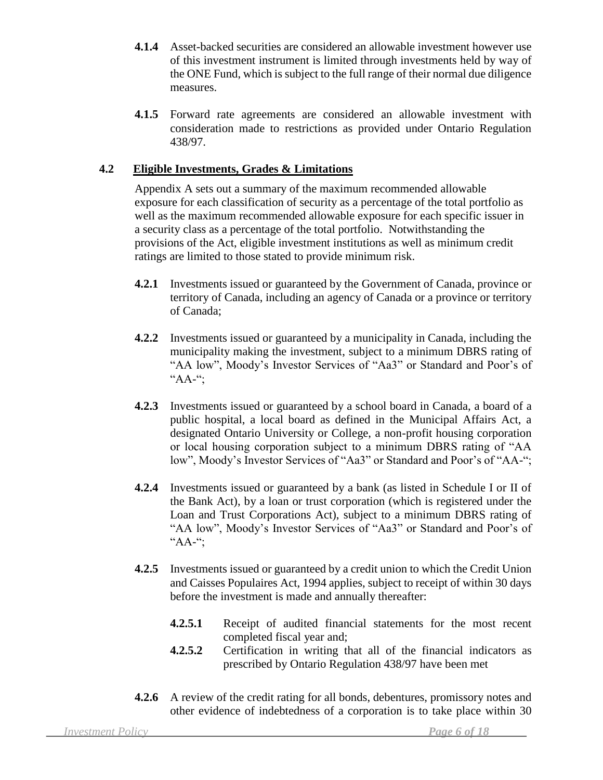- **4.1.4** Asset-backed securities are considered an allowable investment however use of this investment instrument is limited through investments held by way of the ONE Fund, which is subject to the full range of their normal due diligence measures.
- **4.1.5** Forward rate agreements are considered an allowable investment with consideration made to restrictions as provided under Ontario Regulation 438/97.

#### **4.2 Eligible Investments, Grades & Limitations**

Appendix A sets out a summary of the maximum recommended allowable exposure for each classification of security as a percentage of the total portfolio as well as the maximum recommended allowable exposure for each specific issuer in a security class as a percentage of the total portfolio. Notwithstanding the provisions of the Act, eligible investment institutions as well as minimum credit ratings are limited to those stated to provide minimum risk.

- **4.2.1** Investments issued or guaranteed by the Government of Canada, province or territory of Canada, including an agency of Canada or a province or territory of Canada;
- **4.2.2** Investments issued or guaranteed by a municipality in Canada, including the municipality making the investment, subject to a minimum DBRS rating of "AA low", Moody's Investor Services of "Aa3" or Standard and Poor's of  $A^{\mu}$ AA-";
- **4.2.3** Investments issued or guaranteed by a school board in Canada, a board of a public hospital, a local board as defined in the Municipal Affairs Act, a designated Ontario University or College, a non-profit housing corporation or local housing corporation subject to a minimum DBRS rating of "AA low", Moody's Investor Services of "Aa3" or Standard and Poor's of "AA-";
- **4.2.4** Investments issued or guaranteed by a bank (as listed in Schedule I or II of the Bank Act), by a loan or trust corporation (which is registered under the Loan and Trust Corporations Act), subject to a minimum DBRS rating of "AA low", Moody's Investor Services of "Aa3" or Standard and Poor's of "AA-";
- **4.2.5** Investments issued or guaranteed by a credit union to which the Credit Union and Caisses Populaires Act, 1994 applies, subject to receipt of within 30 days before the investment is made and annually thereafter:
	- **4.2.5.1** Receipt of audited financial statements for the most recent completed fiscal year and;
	- **4.2.5.2** Certification in writing that all of the financial indicators as prescribed by Ontario Regulation 438/97 have been met
- **4.2.6** A review of the credit rating for all bonds, debentures, promissory notes and other evidence of indebtedness of a corporation is to take place within 30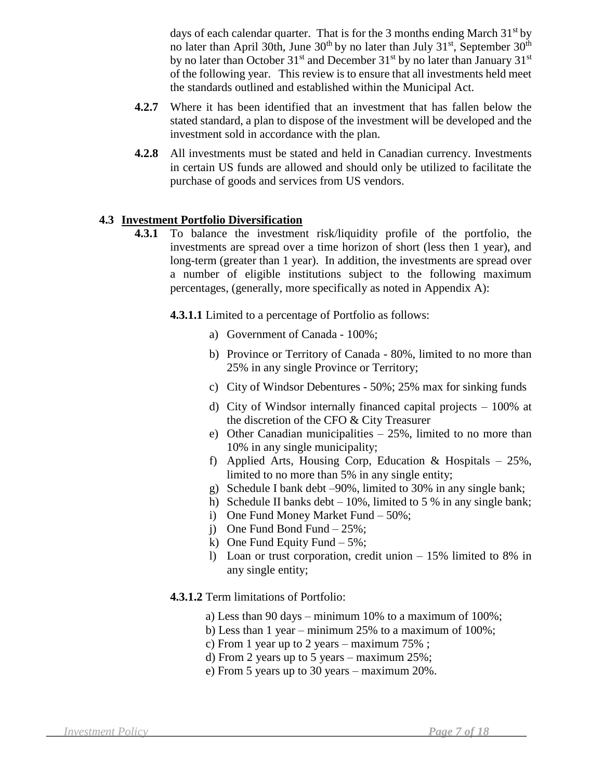days of each calendar quarter. That is for the 3 months ending March  $31<sup>st</sup>$  by no later than April 30th, June  $30<sup>th</sup>$  by no later than July  $31<sup>st</sup>$ , September  $30<sup>th</sup>$ by no later than October  $31^{st}$  and December  $31^{st}$  by no later than January  $31^{st}$ of the following year. This review is to ensure that all investments held meet the standards outlined and established within the Municipal Act.

- **4.2.7** Where it has been identified that an investment that has fallen below the stated standard, a plan to dispose of the investment will be developed and the investment sold in accordance with the plan.
- **4.2.8** All investments must be stated and held in Canadian currency. Investments in certain US funds are allowed and should only be utilized to facilitate the purchase of goods and services from US vendors.

#### **4.3 Investment Portfolio Diversification**

- **4.3.1** To balance the investment risk/liquidity profile of the portfolio, the investments are spread over a time horizon of short (less then 1 year), and long-term (greater than 1 year). In addition, the investments are spread over a number of eligible institutions subject to the following maximum percentages, (generally, more specifically as noted in Appendix A):
	- **4.3.1.1** Limited to a percentage of Portfolio as follows:
		- a) Government of Canada 100%;
		- b) Province or Territory of Canada 80%, limited to no more than 25% in any single Province or Territory;
		- c) City of Windsor Debentures 50%; 25% max for sinking funds
		- d) City of Windsor internally financed capital projects 100% at the discretion of the CFO & City Treasurer
		- e) Other Canadian municipalities  $-25%$ , limited to no more than 10% in any single municipality;
		- f) Applied Arts, Housing Corp, Education & Hospitals  $-25\%$ , limited to no more than 5% in any single entity;
		- g) Schedule I bank debt –90%, limited to 30% in any single bank;
		- h) Schedule II banks debt  $-10\%$ , limited to 5 % in any single bank;
		- i) One Fund Money Market Fund 50%;
		- j) One Fund Bond Fund 25%;
		- k) One Fund Equity Fund  $-5\%$ ;
		- l) Loan or trust corporation, credit union 15% limited to 8% in any single entity;

#### **4.3.1.2** Term limitations of Portfolio:

- a) Less than 90 days minimum 10% to a maximum of 100%;
- b) Less than 1 year minimum 25% to a maximum of 100%;
- c) From 1 year up to 2 years maximum 75% ;
- d) From 2 years up to 5 years maximum 25%;
- e) From 5 years up to 30 years maximum 20%.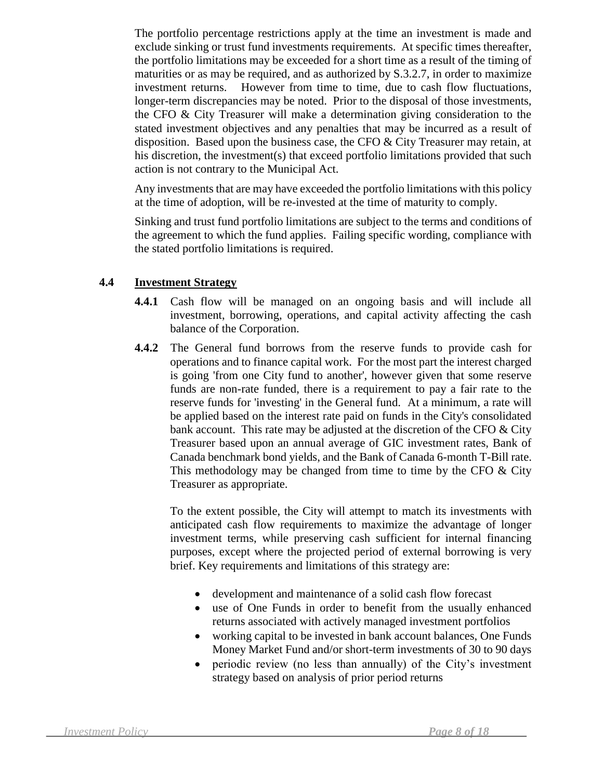The portfolio percentage restrictions apply at the time an investment is made and exclude sinking or trust fund investments requirements. At specific times thereafter, the portfolio limitations may be exceeded for a short time as a result of the timing of maturities or as may be required, and as authorized by S.3.2.7, in order to maximize investment returns. However from time to time, due to cash flow fluctuations, longer-term discrepancies may be noted. Prior to the disposal of those investments, the CFO & City Treasurer will make a determination giving consideration to the stated investment objectives and any penalties that may be incurred as a result of disposition. Based upon the business case, the CFO  $&$  City Treasurer may retain, at his discretion, the investment(s) that exceed portfolio limitations provided that such action is not contrary to the Municipal Act.

Any investments that are may have exceeded the portfolio limitations with this policy at the time of adoption, will be re-invested at the time of maturity to comply.

Sinking and trust fund portfolio limitations are subject to the terms and conditions of the agreement to which the fund applies. Failing specific wording, compliance with the stated portfolio limitations is required.

#### **4.4 Investment Strategy**

- **4.4.1** Cash flow will be managed on an ongoing basis and will include all investment, borrowing, operations, and capital activity affecting the cash balance of the Corporation.
- **4.4.2** The General fund borrows from the reserve funds to provide cash for operations and to finance capital work. For the most part the interest charged is going 'from one City fund to another', however given that some reserve funds are non-rate funded, there is a requirement to pay a fair rate to the reserve funds for 'investing' in the General fund. At a minimum, a rate will be applied based on the interest rate paid on funds in the City's consolidated bank account. This rate may be adjusted at the discretion of the CFO  $&$  City Treasurer based upon an annual average of GIC investment rates, Bank of Canada benchmark bond yields, and the Bank of Canada 6-month T-Bill rate. This methodology may be changed from time to time by the CFO  $&$  City Treasurer as appropriate.

To the extent possible, the City will attempt to match its investments with anticipated cash flow requirements to maximize the advantage of longer investment terms, while preserving cash sufficient for internal financing purposes, except where the projected period of external borrowing is very brief. Key requirements and limitations of this strategy are:

- development and maintenance of a solid cash flow forecast
- use of One Funds in order to benefit from the usually enhanced returns associated with actively managed investment portfolios
- working capital to be invested in bank account balances, One Funds Money Market Fund and/or short-term investments of 30 to 90 days
- periodic review (no less than annually) of the City's investment strategy based on analysis of prior period returns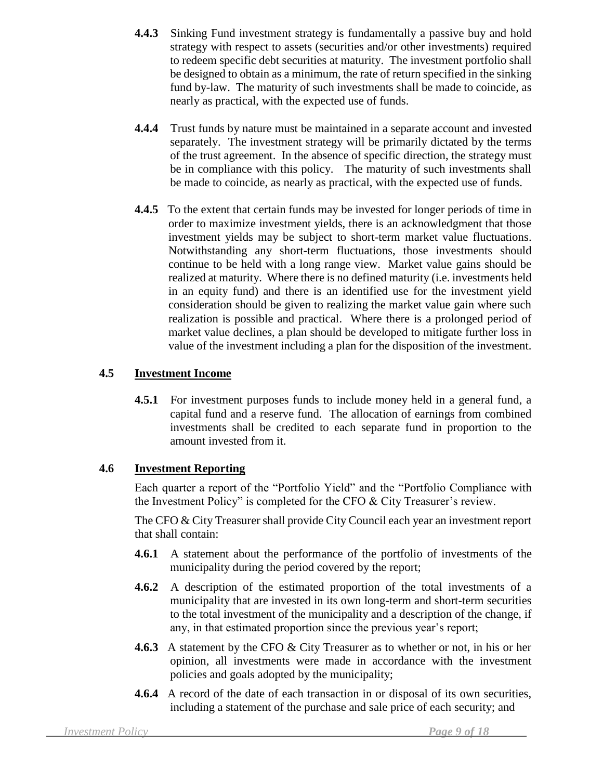- **4.4.3** Sinking Fund investment strategy is fundamentally a passive buy and hold strategy with respect to assets (securities and/or other investments) required to redeem specific debt securities at maturity. The investment portfolio shall be designed to obtain as a minimum, the rate of return specified in the sinking fund by-law. The maturity of such investments shall be made to coincide, as nearly as practical, with the expected use of funds.
- **4.4.4** Trust funds by nature must be maintained in a separate account and invested separately. The investment strategy will be primarily dictated by the terms of the trust agreement. In the absence of specific direction, the strategy must be in compliance with this policy. The maturity of such investments shall be made to coincide, as nearly as practical, with the expected use of funds.
- **4.4.5** To the extent that certain funds may be invested for longer periods of time in order to maximize investment yields, there is an acknowledgment that those investment yields may be subject to short-term market value fluctuations. Notwithstanding any short-term fluctuations, those investments should continue to be held with a long range view. Market value gains should be realized at maturity. Where there is no defined maturity (i.e. investments held in an equity fund) and there is an identified use for the investment yield consideration should be given to realizing the market value gain where such realization is possible and practical. Where there is a prolonged period of market value declines, a plan should be developed to mitigate further loss in value of the investment including a plan for the disposition of the investment.

# **4.5 Investment Income**

**4.5.1** For investment purposes funds to include money held in a general fund, a capital fund and a reserve fund. The allocation of earnings from combined investments shall be credited to each separate fund in proportion to the amount invested from it.

# **4.6 Investment Reporting**

Each quarter a report of the "Portfolio Yield" and the "Portfolio Compliance with the Investment Policy" is completed for the CFO & City Treasurer's review.

The CFO & City Treasurer shall provide City Council each year an investment report that shall contain:

- **4.6.1** A statement about the performance of the portfolio of investments of the municipality during the period covered by the report;
- **4.6.2** A description of the estimated proportion of the total investments of a municipality that are invested in its own long-term and short-term securities to the total investment of the municipality and a description of the change, if any, in that estimated proportion since the previous year's report;
- **4.6.3** A statement by the CFO & City Treasurer as to whether or not, in his or her opinion, all investments were made in accordance with the investment policies and goals adopted by the municipality;
- **4.6.4** A record of the date of each transaction in or disposal of its own securities, including a statement of the purchase and sale price of each security; and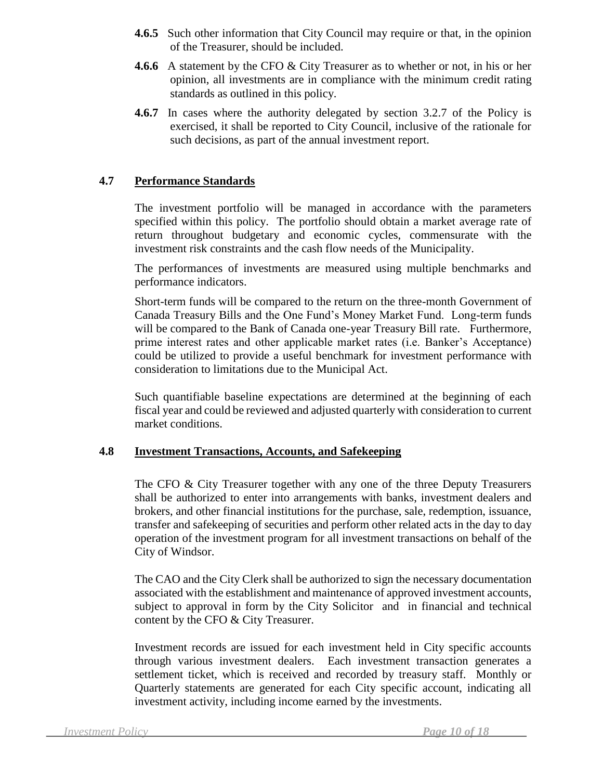- **4.6.5** Such other information that City Council may require or that, in the opinion of the Treasurer, should be included.
- **4.6.6** A statement by the CFO & City Treasurer as to whether or not, in his or her opinion, all investments are in compliance with the minimum credit rating standards as outlined in this policy.
- **4.6.7**In cases where the authority delegated by section 3.2.7 of the Policy is exercised, it shall be reported to City Council, inclusive of the rationale for such decisions, as part of the annual investment report.

#### **4.7 Performance Standards**

The investment portfolio will be managed in accordance with the parameters specified within this policy. The portfolio should obtain a market average rate of return throughout budgetary and economic cycles, commensurate with the investment risk constraints and the cash flow needs of the Municipality.

The performances of investments are measured using multiple benchmarks and performance indicators.

Short-term funds will be compared to the return on the three-month Government of Canada Treasury Bills and the One Fund's Money Market Fund. Long-term funds will be compared to the Bank of Canada one-year Treasury Bill rate. Furthermore, prime interest rates and other applicable market rates (i.e. Banker's Acceptance) could be utilized to provide a useful benchmark for investment performance with consideration to limitations due to the Municipal Act.

Such quantifiable baseline expectations are determined at the beginning of each fiscal year and could be reviewed and adjusted quarterly with consideration to current market conditions.

#### **4.8 Investment Transactions, Accounts, and Safekeeping**

The CFO & City Treasurer together with any one of the three Deputy Treasurers shall be authorized to enter into arrangements with banks, investment dealers and brokers, and other financial institutions for the purchase, sale, redemption, issuance, transfer and safekeeping of securities and perform other related acts in the day to day operation of the investment program for all investment transactions on behalf of the City of Windsor.

The CAO and the City Clerk shall be authorized to sign the necessary documentation associated with the establishment and maintenance of approved investment accounts, subject to approval in form by the City Solicitor and in financial and technical content by the CFO & City Treasurer.

Investment records are issued for each investment held in City specific accounts through various investment dealers. Each investment transaction generates a settlement ticket, which is received and recorded by treasury staff. Monthly or Quarterly statements are generated for each City specific account, indicating all investment activity, including income earned by the investments.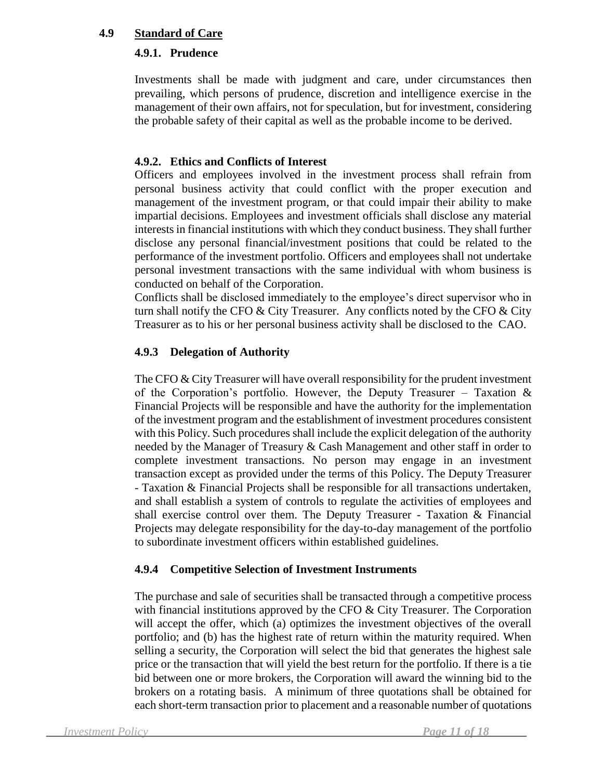#### **4.9 Standard of Care**

## **4.9.1. Prudence**

Investments shall be made with judgment and care, under circumstances then prevailing, which persons of prudence, discretion and intelligence exercise in the management of their own affairs, not for speculation, but for investment, considering the probable safety of their capital as well as the probable income to be derived.

## **4.9.2. Ethics and Conflicts of Interest**

Officers and employees involved in the investment process shall refrain from personal business activity that could conflict with the proper execution and management of the investment program, or that could impair their ability to make impartial decisions. Employees and investment officials shall disclose any material interests in financial institutions with which they conduct business. They shall further disclose any personal financial/investment positions that could be related to the performance of the investment portfolio. Officers and employees shall not undertake personal investment transactions with the same individual with whom business is conducted on behalf of the Corporation.

Conflicts shall be disclosed immediately to the employee's direct supervisor who in turn shall notify the CFO  $&$  City Treasurer. Any conflicts noted by the CFO  $&$  City Treasurer as to his or her personal business activity shall be disclosed to the CAO.

# **4.9.3 Delegation of Authority**

The CFO & City Treasurer will have overall responsibility for the prudent investment of the Corporation's portfolio. However, the Deputy Treasurer – Taxation  $\&$ Financial Projects will be responsible and have the authority for the implementation of the investment program and the establishment of investment procedures consistent with this Policy. Such procedures shall include the explicit delegation of the authority needed by the Manager of Treasury & Cash Management and other staff in order to complete investment transactions. No person may engage in an investment transaction except as provided under the terms of this Policy. The Deputy Treasurer - Taxation & Financial Projects shall be responsible for all transactions undertaken, and shall establish a system of controls to regulate the activities of employees and shall exercise control over them. The Deputy Treasurer - Taxation  $\&$  Financial Projects may delegate responsibility for the day-to-day management of the portfolio to subordinate investment officers within established guidelines.

#### **4.9.4 Competitive Selection of Investment Instruments**

The purchase and sale of securities shall be transacted through a competitive process with financial institutions approved by the CFO & City Treasurer. The Corporation will accept the offer, which (a) optimizes the investment objectives of the overall portfolio; and (b) has the highest rate of return within the maturity required. When selling a security, the Corporation will select the bid that generates the highest sale price or the transaction that will yield the best return for the portfolio. If there is a tie bid between one or more brokers, the Corporation will award the winning bid to the brokers on a rotating basis. A minimum of three quotations shall be obtained for each short-term transaction prior to placement and a reasonable number of quotations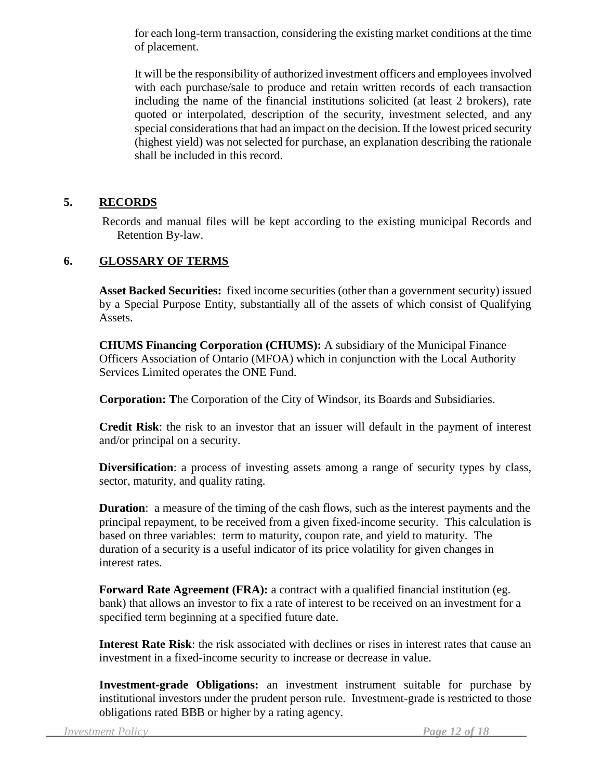for each long-term transaction, considering the existing market conditions at the time of placement.

It will be the responsibility of authorized investment officers and employees involved with each purchase/sale to produce and retain written records of each transaction including the name of the financial institutions solicited (at least 2 brokers), rate quoted or interpolated, description of the security, investment selected, and any special considerations that had an impact on the decision. If the lowest priced security (highest yield) was not selected for purchase, an explanation describing the rationale shall be included in this record.

#### **5. RECORDS**

Records and manual files will be kept according to the existing municipal Records and Retention By-law.

#### **6. GLOSSARY OF TERMS**

**Asset Backed Securities:** fixed income securities (other than a government security) issued by a Special Purpose Entity, substantially all of the assets of which consist of Qualifying Assets.

**CHUMS Financing Corporation (CHUMS):** A subsidiary of the Municipal Finance Officers Association of Ontario (MFOA) which in conjunction with the Local Authority Services Limited operates the ONE Fund.

**Corporation: T**he Corporation of the City of Windsor, its Boards and Subsidiaries.

**Credit Risk**: the risk to an investor that an issuer will default in the payment of interest and/or principal on a security.

**Diversification**: a process of investing assets among a range of security types by class, sector, maturity, and quality rating.

**Duration**: a measure of the timing of the cash flows, such as the interest payments and the principal repayment, to be received from a given fixed-income security. This calculation is based on three variables: term to maturity, coupon rate, and yield to maturity. The duration of a security is a useful indicator of its price volatility for given changes in interest rates.

**Forward Rate Agreement (FRA):** a contract with a qualified financial institution (eg. bank) that allows an investor to fix a rate of interest to be received on an investment for a specified term beginning at a specified future date.

**Interest Rate Risk**: the risk associated with declines or rises in interest rates that cause an investment in a fixed-income security to increase or decrease in value.

**Investment-grade Obligations:** an investment instrument suitable for purchase by institutional investors under the prudent person rule. Investment-grade is restricted to those obligations rated BBB or higher by a rating agency.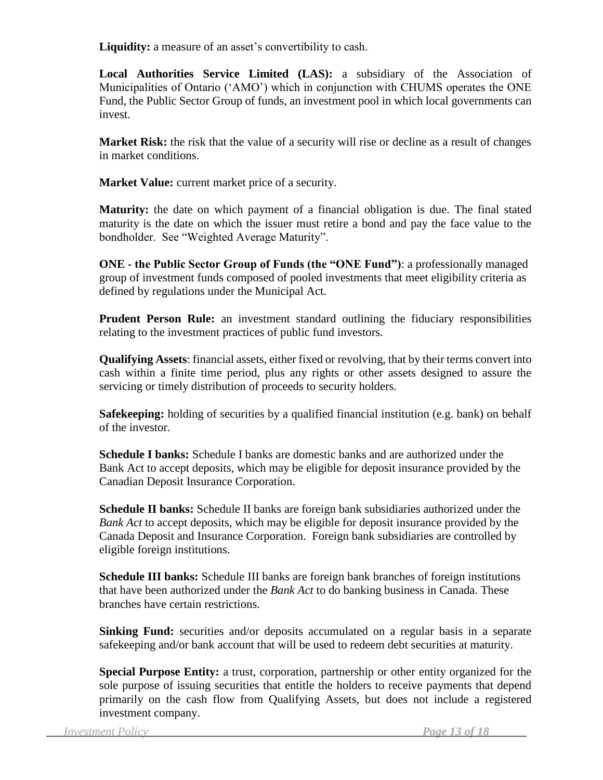**Liquidity:** a measure of an asset's convertibility to cash.

**Local Authorities Service Limited (LAS):** a subsidiary of the Association of Municipalities of Ontario ('AMO') which in conjunction with CHUMS operates the ONE Fund, the Public Sector Group of funds, an investment pool in which local governments can invest.

**Market Risk:** the risk that the value of a security will rise or decline as a result of changes in market conditions.

**Market Value:** current market price of a security.

**Maturity:** the date on which payment of a financial obligation is due. The final stated maturity is the date on which the issuer must retire a bond and pay the face value to the bondholder. See "Weighted Average Maturity".

**ONE - the Public Sector Group of Funds (the "ONE Fund")**: a professionally managed group of investment funds composed of pooled investments that meet eligibility criteria as defined by regulations under the Municipal Act.

**Prudent Person Rule:** an investment standard outlining the fiduciary responsibilities relating to the investment practices of public fund investors.

**Qualifying Assets**: financial assets, either fixed or revolving, that by their terms convert into cash within a finite time period, plus any rights or other assets designed to assure the servicing or timely distribution of proceeds to security holders.

**Safekeeping:** holding of securities by a qualified financial institution (e.g. bank) on behalf of the investor.

**Schedule I banks:** Schedule I banks are domestic banks and are authorized under the Bank Act to accept deposits, which may be eligible for deposit insurance provided by the Canadian Deposit Insurance Corporation.

**Schedule II banks:** Schedule II banks are foreign bank subsidiaries authorized under the *Bank Act* to accept deposits, which may be eligible for deposit insurance provided by the Canada Deposit and Insurance Corporation. Foreign bank subsidiaries are controlled by eligible foreign institutions.

**Schedule III banks:** Schedule III banks are foreign bank branches of foreign institutions that have been authorized under the *Bank Act* to do banking business in Canada. These branches have certain restrictions.

**Sinking Fund:** securities and/or deposits accumulated on a regular basis in a separate safekeeping and/or bank account that will be used to redeem debt securities at maturity.

**Special Purpose Entity:** a trust, corporation, partnership or other entity organized for the sole purpose of issuing securities that entitle the holders to receive payments that depend primarily on the cash flow from Qualifying Assets, but does not include a registered investment company.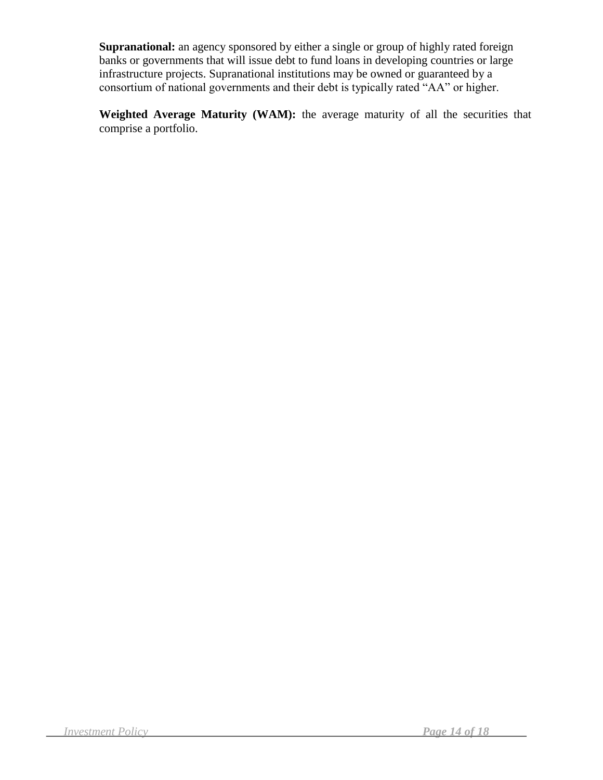**Supranational:** an agency sponsored by either a single or group of highly rated foreign banks or governments that will issue debt to fund loans in developing countries or large infrastructure projects. Supranational institutions may be owned or guaranteed by a consortium of national governments and their debt is typically rated "AA" or higher.

Weighted Average Maturity (WAM): the average maturity of all the securities that comprise a portfolio.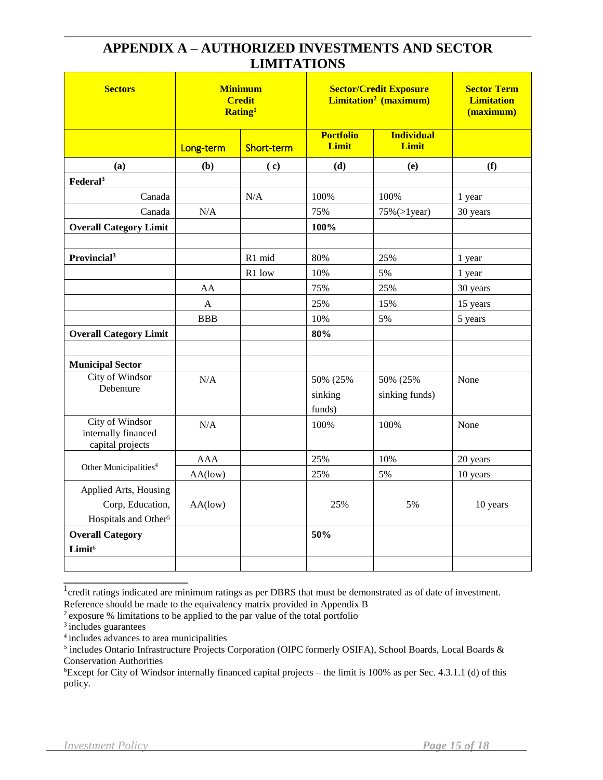# **APPENDIX A – AUTHORIZED INVESTMENTS AND SECTOR LIMITATIONS**

| <b>Sectors</b>                                                                | <b>Minimum</b><br><b>Credit</b><br>Rating <sup>1</sup> |            | <b>Sector/Credit Exposure</b><br><b>Limitation<sup>2</sup></b> (maximum) | <b>Sector Term</b><br><b>Limitation</b><br>(maximum) |          |
|-------------------------------------------------------------------------------|--------------------------------------------------------|------------|--------------------------------------------------------------------------|------------------------------------------------------|----------|
|                                                                               | Long-term                                              | Short-term | <b>Portfolio</b><br>Limit                                                | <b>Individual</b><br>Limit                           |          |
| (a)                                                                           | (b)                                                    | (c)        | (d)                                                                      | (e)                                                  | (f)      |
| Federal <sup>3</sup>                                                          |                                                        |            |                                                                          |                                                      |          |
| Canada                                                                        |                                                        | N/A        | 100%                                                                     | 100%                                                 | 1 year   |
| Canada                                                                        | N/A                                                    |            | 75%                                                                      | $75\% (>1$ year)                                     | 30 years |
| <b>Overall Category Limit</b>                                                 |                                                        |            | 100%                                                                     |                                                      |          |
|                                                                               |                                                        |            |                                                                          |                                                      |          |
| Provincial <sup>3</sup>                                                       |                                                        | R1 mid     | 80%                                                                      | 25%                                                  | 1 year   |
|                                                                               |                                                        | R1 low     | 10%                                                                      | 5%                                                   | 1 year   |
|                                                                               | AA                                                     |            | 75%                                                                      | 25%                                                  | 30 years |
|                                                                               | $\mathbf{A}$                                           |            | 25%                                                                      | 15%                                                  | 15 years |
|                                                                               | <b>BBB</b>                                             |            | 10%                                                                      | 5%                                                   | 5 years  |
| <b>Overall Category Limit</b>                                                 |                                                        |            | 80%                                                                      |                                                      |          |
|                                                                               |                                                        |            |                                                                          |                                                      |          |
| <b>Municipal Sector</b>                                                       |                                                        |            |                                                                          |                                                      |          |
| City of Windsor                                                               | N/A                                                    |            | 50% (25%                                                                 | 50% (25%                                             | None     |
| Debenture                                                                     |                                                        |            | sinking                                                                  | sinking funds)                                       |          |
|                                                                               |                                                        |            | funds)                                                                   |                                                      |          |
| City of Windsor<br>internally financed<br>capital projects                    | N/A                                                    |            | 100%                                                                     | 100%                                                 | None     |
|                                                                               | <b>AAA</b>                                             |            | 25%                                                                      | 10%                                                  | 20 years |
| Other Municipalities <sup>4</sup>                                             | AA(low)                                                |            | 25%                                                                      | 5%                                                   | 10 years |
| Applied Arts, Housing<br>Corp, Education,<br>Hospitals and Other <sup>5</sup> | AA(low)                                                |            | 25%                                                                      | 5%                                                   | 10 years |
| <b>Overall Category</b>                                                       |                                                        |            | 50%                                                                      |                                                      |          |
| Limit <sup>6</sup>                                                            |                                                        |            |                                                                          |                                                      |          |
|                                                                               |                                                        |            |                                                                          |                                                      |          |

<sup>1</sup>credit ratings indicated are minimum ratings as per DBRS that must be demonstrated as of date of investment.

Reference should be made to the equivalency matrix provided in Appendix B

**\_\_\_\_\_\_\_\_\_\_\_\_\_\_\_\_\_\_\_\_\_**

<sup>2</sup>exposure % limitations to be applied to the par value of the total portfolio

<sup>&</sup>lt;sup>3</sup> includes guarantees

<sup>4</sup>includes advances to area municipalities

<sup>&</sup>lt;sup>5</sup> includes Ontario Infrastructure Projects Corporation (OIPC formerly OSIFA), School Boards, Local Boards & Conservation Authorities

<sup>6</sup>Except for City of Windsor internally financed capital projects – the limit is 100% as per Sec. 4.3.1.1 (d) of this policy.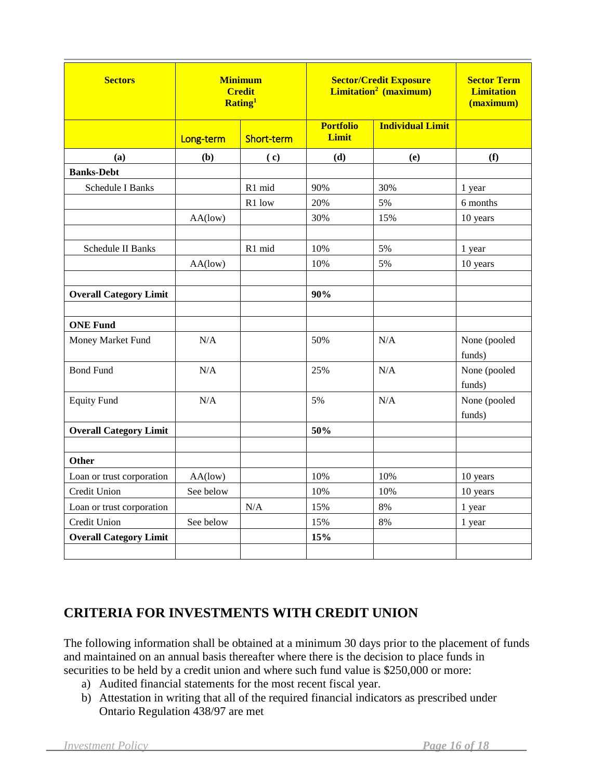| <b>Sectors</b>                | <b>Minimum</b><br><b>Credit</b><br>Rating <sup>1</sup> |            | <b>Sector/Credit Exposure</b><br><b>Limitation<sup>2</sup></b> (maximum) | <b>Sector Term</b><br><b>Limitation</b><br>(maximum) |                        |  |
|-------------------------------|--------------------------------------------------------|------------|--------------------------------------------------------------------------|------------------------------------------------------|------------------------|--|
|                               | Long-term                                              | Short-term | <b>Portfolio</b><br>Limit                                                | <b>Individual Limit</b>                              |                        |  |
| (a)                           | (b)                                                    | (c)        | (d)                                                                      | (e)                                                  | (f)                    |  |
| <b>Banks-Debt</b>             |                                                        |            |                                                                          |                                                      |                        |  |
| <b>Schedule I Banks</b>       |                                                        | R1 mid     | 90%                                                                      | 30%                                                  | 1 year                 |  |
|                               |                                                        | R1 low     | 20%                                                                      | 5%                                                   | 6 months               |  |
|                               | AA(low)                                                |            | 30%                                                                      | 15%                                                  | 10 years               |  |
|                               |                                                        |            |                                                                          |                                                      |                        |  |
| <b>Schedule II Banks</b>      |                                                        | R1 mid     | 10%                                                                      | 5%                                                   | 1 year                 |  |
|                               | AA(low)                                                |            | 10%                                                                      | 5%                                                   | 10 years               |  |
|                               |                                                        |            |                                                                          |                                                      |                        |  |
| <b>Overall Category Limit</b> |                                                        |            | 90%                                                                      |                                                      |                        |  |
|                               |                                                        |            |                                                                          |                                                      |                        |  |
| <b>ONE Fund</b>               |                                                        |            |                                                                          |                                                      |                        |  |
| Money Market Fund             | N/A                                                    |            | 50%                                                                      | N/A                                                  | None (pooled<br>funds) |  |
| <b>Bond Fund</b>              | N/A                                                    |            | 25%                                                                      | N/A                                                  | None (pooled<br>funds) |  |
| <b>Equity Fund</b>            | N/A                                                    |            | 5%                                                                       | N/A                                                  | None (pooled<br>funds) |  |
| <b>Overall Category Limit</b> |                                                        |            | 50%                                                                      |                                                      |                        |  |
|                               |                                                        |            |                                                                          |                                                      |                        |  |
| <b>Other</b>                  |                                                        |            |                                                                          |                                                      |                        |  |
| Loan or trust corporation     | AA(low)                                                |            | 10%                                                                      | 10%                                                  | 10 years               |  |
| Credit Union                  | See below                                              |            | 10%                                                                      | 10%                                                  | 10 years               |  |
| Loan or trust corporation     |                                                        | N/A        | 15%                                                                      | 8%                                                   | 1 year                 |  |
| Credit Union                  | See below                                              |            | 15%                                                                      | 8%                                                   | 1 year                 |  |
| <b>Overall Category Limit</b> |                                                        |            | 15%                                                                      |                                                      |                        |  |
|                               |                                                        |            |                                                                          |                                                      |                        |  |

# **CRITERIA FOR INVESTMENTS WITH CREDIT UNION**

The following information shall be obtained at a minimum 30 days prior to the placement of funds and maintained on an annual basis thereafter where there is the decision to place funds in securities to be held by a credit union and where such fund value is \$250,000 or more:

- a) Audited financial statements for the most recent fiscal year.
- b) Attestation in writing that all of the required financial indicators as prescribed under Ontario Regulation 438/97 are met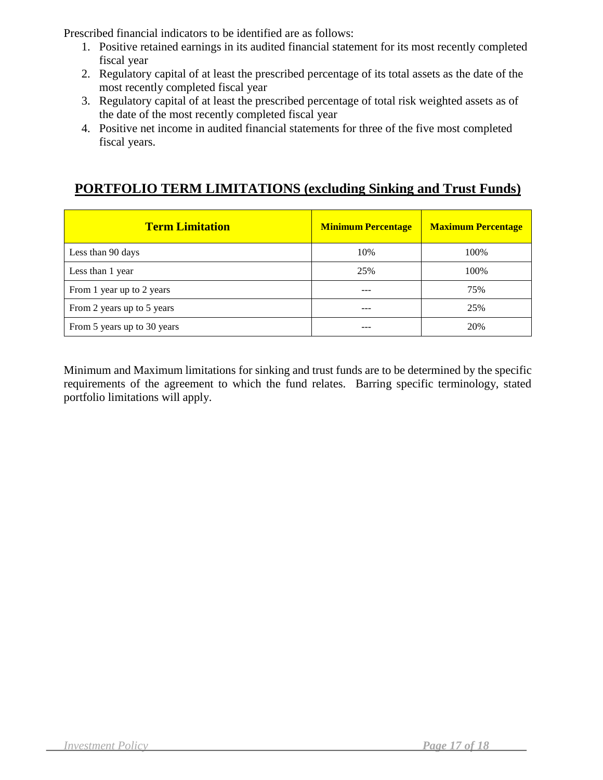Prescribed financial indicators to be identified are as follows:

- 1. Positive retained earnings in its audited financial statement for its most recently completed fiscal year
- 2. Regulatory capital of at least the prescribed percentage of its total assets as the date of the most recently completed fiscal year
- 3. Regulatory capital of at least the prescribed percentage of total risk weighted assets as of the date of the most recently completed fiscal year
- 4. Positive net income in audited financial statements for three of the five most completed fiscal years.

# **PORTFOLIO TERM LIMITATIONS (excluding Sinking and Trust Funds)**

| <b>Term Limitation</b>      | <b>Minimum Percentage</b> | <b>Maximum Percentage</b> |  |  |
|-----------------------------|---------------------------|---------------------------|--|--|
| Less than 90 days           | 10%                       | 100%                      |  |  |
| Less than 1 year            | 25%                       | 100%                      |  |  |
| From 1 year up to 2 years   | ---                       | 75%                       |  |  |
| From 2 years up to 5 years  |                           | 25%                       |  |  |
| From 5 years up to 30 years | ---                       | 20%                       |  |  |

Minimum and Maximum limitations for sinking and trust funds are to be determined by the specific requirements of the agreement to which the fund relates. Barring specific terminology, stated portfolio limitations will apply.